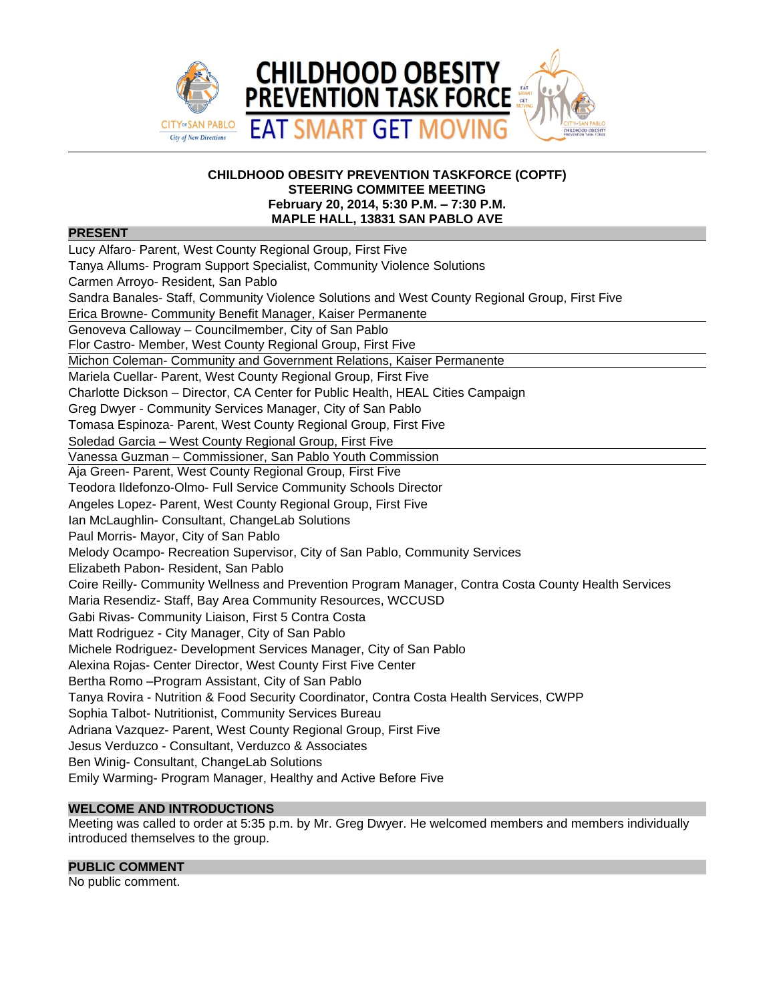

### **CHILDHOOD OBESITY PREVENTION TASKFORCE (COPTF) STEERING COMMITEE MEETING February 20, 2014, 5:30 P.M. – 7:30 P.M. MAPLE HALL, 13831 SAN PABLO AVE**

## **PRESENT**

| Lucy Alfaro- Parent, West County Regional Group, First Five                                          |
|------------------------------------------------------------------------------------------------------|
| Tanya Allums- Program Support Specialist, Community Violence Solutions                               |
| Carmen Arroyo- Resident, San Pablo                                                                   |
| Sandra Banales- Staff, Community Violence Solutions and West County Regional Group, First Five       |
| Erica Browne- Community Benefit Manager, Kaiser Permanente                                           |
| Genoveva Calloway - Councilmember, City of San Pablo                                                 |
| Flor Castro- Member, West County Regional Group, First Five                                          |
| Michon Coleman- Community and Government Relations, Kaiser Permanente                                |
| Mariela Cuellar- Parent, West County Regional Group, First Five                                      |
| Charlotte Dickson - Director, CA Center for Public Health, HEAL Cities Campaign                      |
| Greg Dwyer - Community Services Manager, City of San Pablo                                           |
| Tomasa Espinoza- Parent, West County Regional Group, First Five                                      |
| Soledad Garcia - West County Regional Group, First Five                                              |
| Vanessa Guzman - Commissioner, San Pablo Youth Commission                                            |
| Aja Green- Parent, West County Regional Group, First Five                                            |
| Teodora Ildefonzo-Olmo- Full Service Community Schools Director                                      |
| Angeles Lopez- Parent, West County Regional Group, First Five                                        |
| Ian McLaughlin- Consultant, ChangeLab Solutions                                                      |
| Paul Morris- Mayor, City of San Pablo                                                                |
| Melody Ocampo- Recreation Supervisor, City of San Pablo, Community Services                          |
| Elizabeth Pabon- Resident, San Pablo                                                                 |
| Coire Reilly- Community Wellness and Prevention Program Manager, Contra Costa County Health Services |
| Maria Resendiz- Staff, Bay Area Community Resources, WCCUSD                                          |
| Gabi Rivas- Community Liaison, First 5 Contra Costa                                                  |
| Matt Rodriguez - City Manager, City of San Pablo                                                     |
| Michele Rodriguez- Development Services Manager, City of San Pablo                                   |
| Alexina Rojas- Center Director, West County First Five Center                                        |
| Bertha Romo - Program Assistant, City of San Pablo                                                   |
| Tanya Rovira - Nutrition & Food Security Coordinator, Contra Costa Health Services, CWPP             |
| Sophia Talbot- Nutritionist, Community Services Bureau                                               |
| Adriana Vazquez- Parent, West County Regional Group, First Five                                      |
| Jesus Verduzco - Consultant, Verduzco & Associates                                                   |
| Ben Winig- Consultant, ChangeLab Solutions                                                           |
| Emily Warming- Program Manager, Healthy and Active Before Five                                       |
|                                                                                                      |

# **WELCOME AND INTRODUCTIONS**

Meeting was called to order at 5:35 p.m. by Mr. Greg Dwyer. He welcomed members and members individually introduced themselves to the group.

# **PUBLIC COMMENT**

No public comment.